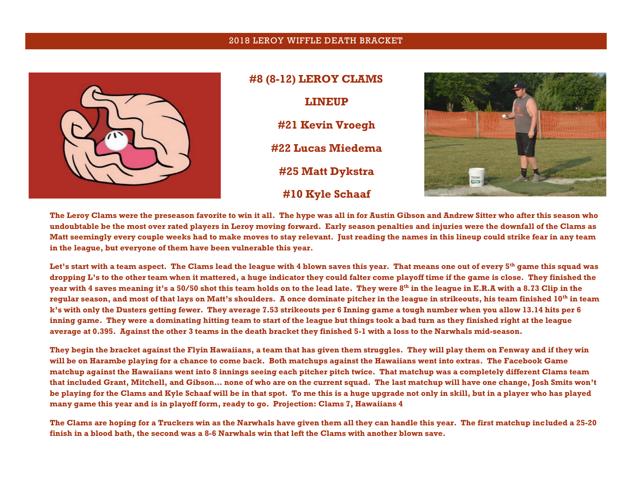## 2018 LEROY WIFFLE DEATH BRACKET



**#8 (8-12) LEROY CLAMS LINEUP #21 Kevin Vroegh #22 Lucas Miedema #25 Matt Dykstra #10 Kyle Schaaf**



**The Leroy Clams were the preseason favorite to win it all. The hype was all in for Austin Gibson and Andrew Sitter who after this season who undoubtable be the most over rated players in Leroy moving forward. Early season penalties and injuries were the downfall of the Clams as Matt seemingly every couple weeks had to make moves to stay relevant. Just reading the names in this lineup could strike fear in any team in the league, but everyone of them have been vulnerable this year.**

**Let's start with a team aspect. The Clams lead the league with 4 blown saves this year. That means one out of every 5th game this squad was dropping L's to the other team when it mattered, a huge indicator they could falter come playoff time if the game is close. They finished the year with 4 saves meaning it's a 50/50 shot this team holds on to the lead late. They were 8th in the league in E.R.A with a 8.73 Clip in the regular season, and most of that lays on Matt's shoulders. A once dominate pitcher in the league in strikeouts, his team finished 10th in team k's with only the Dusters getting fewer. They average 7.53 strikeouts per 6 Inning game a tough number when you allow 13.14 hits per 6 inning game. They were a dominating hitting team to start of the league but things took a bad turn as they finished right at the league average at 0.395. Against the other 3 teams in the death bracket they finished 5-1 with a loss to the Narwhals mid-season.**

**They begin the bracket against the Flyin Hawaiians, a team that has given them struggles. They will play them on Fenway and if they win will be on Harambe playing for a chance to come back. Both matchups against the Hawaiians went into extras. The Facebook Game matchup against the Hawaiians went into 8 innings seeing each pitcher pitch twice. That matchup was a completely different Clams team that included Grant, Mitchell, and Gibson… none of who are on the current squad. The last matchup will have one change, Josh Smits won't be playing for the Clams and Kyle Schaaf will be in that spot. To me this is a huge upgrade not only in skill, but in a player who has played many game this year and is in playoff form, ready to go. Projection: Clams 7, Hawaiians 4**

**The Clams are hoping for a Truckers win as the Narwhals have given them all they can handle this year. The first matchup included a 25-20 finish in a blood bath, the second was a 8-6 Narwhals win that left the Clams with another blown save.**